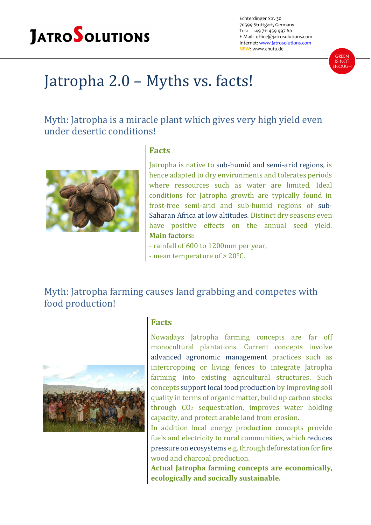# **JATROSOLUTIONS**

Echterdinger Str. 30 70599 Stuttgart, Germany Tel.: +49 711 459 997 60 E-Mail: office@jatrosolutions.com Internet: www.jatrosolutions.com **NEW**: www.chuta.de



## Jatropha 2.0 - Myths vs. facts!

Myth: Jatropha is a miracle plant which gives very high yield even under desertic conditions!



### **Facts**

Jatropha is native to sub-humid and semi-arid regions, is hence adapted to dry environments and tolerates periods where ressources such as water are limited. Ideal conditions for Jatropha growth are typically found in frost-free semi-arid and sub-humid regions of sub-Saharan Africa at low altitudes. Distinct dry seasons even have positive effects on the annual seed yield. **Main factors:**

- rainfall of 600 to 1200mm per year,
- mean temperature of  $> 20^{\circ}$ C.

Myth: Jatropha farming causes land grabbing and competes with food production!



#### **Facts**

Nowadays Jatropha farming concepts are far off monocultural plantations. Current concepts involve advanced agronomic management practices such as intercropping or living fences to integrate Jatropha farming into existing agricultural structures. Such concepts support local food production by improving soil quality in terms of organic matter, build up carbon stocks through  $CO<sub>2</sub>$  sequestration, improves water holding capacity, and protect arable land from erosion.

In addition local energy production concepts provide fuels and electricity to rural communities, which reduces pressure on ecosystems e.g. through deforestation for fire wood and charcoal production.

**Actual Jatropha farming concepts are economically, ecologically and socically sustainable.**